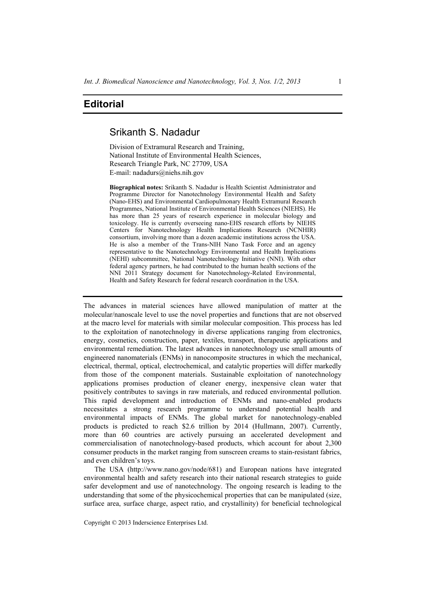# **Editorial**

## Srikanth S. Nadadur

Division of Extramural Research and Training, National Institute of Environmental Health Sciences, Research Triangle Park, NC 27709, USA E-mail: nadadurs@niehs.nih.gov

**Biographical notes:** Srikanth S. Nadadur is Health Scientist Administrator and Programme Director for Nanotechnology Environmental Health and Safety (Nano-EHS) and Environmental Cardiopulmonary Health Extramural Research Programmes, National Institute of Environmental Health Sciences (NIEHS). He has more than 25 years of research experience in molecular biology and toxicology. He is currently overseeing nano-EHS research efforts by NIEHS Centers for Nanotechnology Health Implications Research (NCNHIR) consortium, involving more than a dozen academic institutions across the USA. He is also a member of the Trans-NIH Nano Task Force and an agency representative to the Nanotechnology Environmental and Health Implications (NEHI) subcommittee, National Nanotechnology Initiative (NNI). With other federal agency partners, he had contributed to the human health sections of the NNI 2011 Strategy document for Nanotechnology-Related Environmental, Health and Safety Research for federal research coordination in the USA.

The advances in material sciences have allowed manipulation of matter at the molecular/nanoscale level to use the novel properties and functions that are not observed at the macro level for materials with similar molecular composition. This process has led to the exploitation of nanotechnology in diverse applications ranging from electronics, energy, cosmetics, construction, paper, textiles, transport, therapeutic applications and environmental remediation. The latest advances in nanotechnology use small amounts of engineered nanomaterials (ENMs) in nanocomposite structures in which the mechanical, electrical, thermal, optical, electrochemical, and catalytic properties will differ markedly from those of the component materials. Sustainable exploitation of nanotechnology applications promises production of cleaner energy, inexpensive clean water that positively contributes to savings in raw materials, and reduced environmental pollution. This rapid development and introduction of ENMs and nano-enabled products necessitates a strong research programme to understand potential health and environmental impacts of ENMs. The global market for nanotechnology-enabled products is predicted to reach \$2.6 trillion by 2014 (Hullmann, 2007). Currently, more than 60 countries are actively pursuing an accelerated development and commercialisation of nanotechnology-based products, which account for about 2,300 consumer products in the market ranging from sunscreen creams to stain-resistant fabrics, and even children's toys.

The USA (http://www.nano.gov/node/681) and European nations have integrated environmental health and safety research into their national research strategies to guide safer development and use of nanotechnology. The ongoing research is leading to the understanding that some of the physicochemical properties that can be manipulated (size, surface area, surface charge, aspect ratio, and crystallinity) for beneficial technological

Copyright © 2013 Inderscience Enterprises Ltd.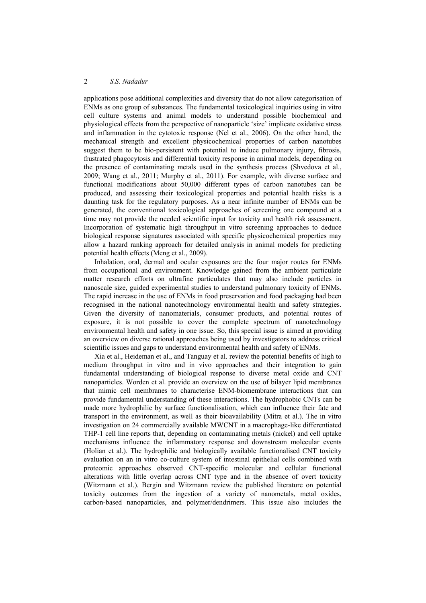### 2 *S.S. Nadadur*

applications pose additional complexities and diversity that do not allow categorisation of ENMs as one group of substances. The fundamental toxicological inquiries using in vitro cell culture systems and animal models to understand possible biochemical and physiological effects from the perspective of nanoparticle 'size' implicate oxidative stress and inflammation in the cytotoxic response (Nel et al., 2006). On the other hand, the mechanical strength and excellent physicochemical properties of carbon nanotubes suggest them to be bio-persistent with potential to induce pulmonary injury, fibrosis, frustrated phagocytosis and differential toxicity response in animal models, depending on the presence of contaminating metals used in the synthesis process (Shvedova et al., 2009; Wang et al., 2011; Murphy et al., 2011). For example, with diverse surface and functional modifications about 50,000 different types of carbon nanotubes can be produced, and assessing their toxicological properties and potential health risks is a daunting task for the regulatory purposes. As a near infinite number of ENMs can be generated, the conventional toxicological approaches of screening one compound at a time may not provide the needed scientific input for toxicity and health risk assessment. Incorporation of systematic high throughput in vitro screening approaches to deduce biological response signatures associated with specific physicochemical properties may allow a hazard ranking approach for detailed analysis in animal models for predicting potential health effects (Meng et al., 2009).

Inhalation, oral, dermal and ocular exposures are the four major routes for ENMs from occupational and environment. Knowledge gained from the ambient particulate matter research efforts on ultrafine particulates that may also include particles in nanoscale size, guided experimental studies to understand pulmonary toxicity of ENMs. The rapid increase in the use of ENMs in food preservation and food packaging had been recognised in the national nanotechnology environmental health and safety strategies. Given the diversity of nanomaterials, consumer products, and potential routes of exposure, it is not possible to cover the complete spectrum of nanotechnology environmental health and safety in one issue. So, this special issue is aimed at providing an overview on diverse rational approaches being used by investigators to address critical scientific issues and gaps to understand environmental health and safety of ENMs.

Xia et al., Heideman et al., and Tanguay et al. review the potential benefits of high to medium throughput in vitro and in vivo approaches and their integration to gain fundamental understanding of biological response to diverse metal oxide and CNT nanoparticles. Worden et al. provide an overview on the use of bilayer lipid membranes that mimic cell membranes to characterise ENM-biomembrane interactions that can provide fundamental understanding of these interactions. The hydrophobic CNTs can be made more hydrophilic by surface functionalisation, which can influence their fate and transport in the environment, as well as their bioavailability (Mitra et al.). The in vitro investigation on 24 commercially available MWCNT in a macrophage-like differentiated THP-1 cell line reports that, depending on contaminating metals (nickel) and cell uptake mechanisms influence the inflammatory response and downstream molecular events (Holian et al.). The hydrophilic and biologically available functionalised CNT toxicity evaluation on an in vitro co-culture system of intestinal epithelial cells combined with proteomic approaches observed CNT-specific molecular and cellular functional alterations with little overlap across CNT type and in the absence of overt toxicity (Witzmann et al.). Bergin and Witzmann review the published literature on potential toxicity outcomes from the ingestion of a variety of nanometals, metal oxides, carbon-based nanoparticles, and polymer/dendrimers. This issue also includes the